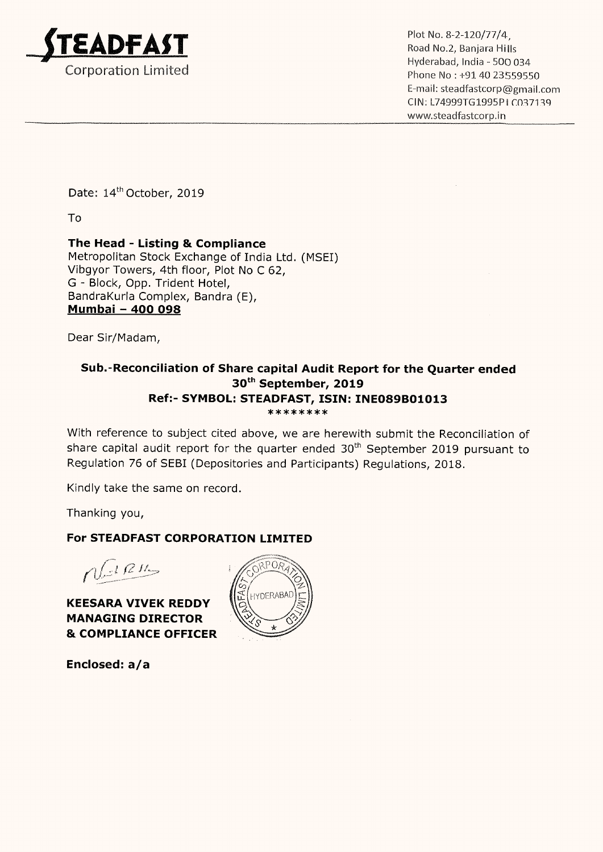

\_ . Hyderabad, India — 500 034 E—mail: steadfastcorp@gmail.com CIN: L74999TG1995P1 C037139 www.3teadfastcorp.in

Date: 14<sup>th</sup> October, 2019

To

## The Head - Listing & Compliance

Metropolitan Stock Exchange of India Ltd. (MSEI) Vibgyor Towers, 4th floor, Plot No <sup>C</sup> 62, G <sup>~</sup> Block, Opp. Trident Hotel, BandraKurla Complex, Bandra (E), <u>Dandrakuna Compie</u><br><u>Mumbai – 400 098</u>

Dear Sir/Madam,

### Sub.-Reconciliation of Share capital Audit Report for the Quarter ended 30th September, 2019 Ref:- SYMBOL: STEADFAST, ISIN: INE089B01013 \*\*\*\*\*\*\*\*

With reference to subject cited above, we are herewith submit the Reconciliation of share capital audit report for the quarter ended 30<sup>th</sup> September 2019 pursuant to Regulation 76 of SEBI (Depositories and Participants) Regulations, 2018.

Kindly take the same on record.

Thanking you,

## For STEADFAST CORPORATION LIMITED

 $\sqrt{dR}$ 

KEESARA VIVEK REDDY MANAGING DIRECTOR & COMPLIANCE OFFICER

Enclosed: a/a

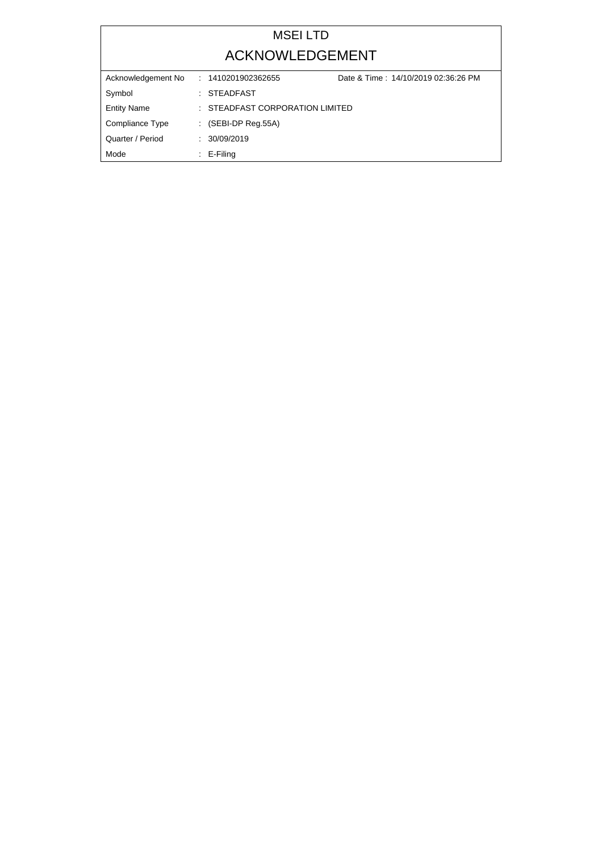# MSEI LTD ACKNOWLEDGEMENT

| Acknowledgement No | Date & Time: 14/10/2019 02:36:26 PM<br>: 1410201902362655 |  |
|--------------------|-----------------------------------------------------------|--|
| Symbol             | : STEADFAST                                               |  |
| <b>Entity Name</b> | : STEADFAST CORPORATION LIMITED                           |  |
| Compliance Type    | $\therefore$ (SEBI-DP Reg.55A)                            |  |
| Quarter / Period   | : 30/09/2019                                              |  |
| Mode               | $\therefore$ E-Filing                                     |  |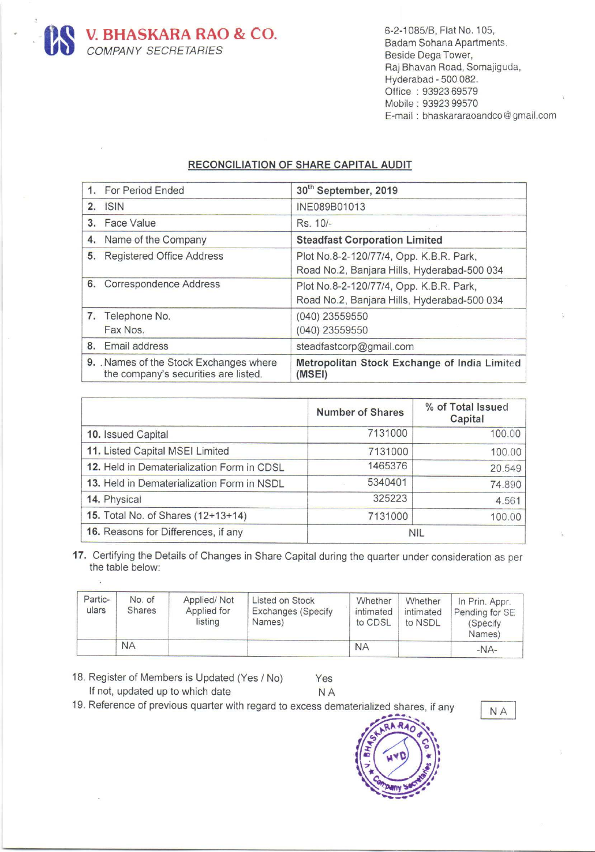**US V. BHASKARA RAO & CO.**<br>COMPANY SECRETARIES

5

6—2-1085/8, Flat No. 105, Badam Sohana Apartments. Beside Dega Tower, Raj Bhavan Road, Somajiguda, Hyderabad - 500 082. Office : 93923 69579 Mobile : 93923 99570 E-mail : bhaskararaoandco@gmail.com

#### RECONCILIATION OF SHARE CAPITAL AUDIT

| 1. For Period Ended                                                           | 30 <sup>th</sup> September, 2019                                                       |
|-------------------------------------------------------------------------------|----------------------------------------------------------------------------------------|
| 2. ISIN                                                                       | INE089B01013                                                                           |
| 3. Face Value                                                                 | Rs. 10/-                                                                               |
| 4. Name of the Company                                                        | <b>Steadfast Corporation Limited</b>                                                   |
| 5. Registered Office Address                                                  | Plot No.8-2-120/77/4, Opp. K.B.R. Park,<br>Road No.2, Banjara Hills, Hyderabad-500 034 |
| 6. Correspondence Address                                                     | Plot No.8-2-120/77/4, Opp. K.B.R. Park,<br>Road No.2, Banjara Hills, Hyderabad-500 034 |
| 7. Telephone No.<br>Fax Nos.                                                  | $(040)$ 23559550<br>(040) 23559550                                                     |
| 8. Email address                                                              | steadfastcorp@gmail.com                                                                |
| 9. Names of the Stock Exchanges where<br>the company's securities are listed. | Metropolitan Stock Exchange of India Limited<br>(MSEI)                                 |

|                                            | <b>Number of Shares</b> | % of Total Issued<br>Capital |
|--------------------------------------------|-------------------------|------------------------------|
| 10. Issued Capital                         | 7131000                 | 100.00                       |
| 11. Listed Capital MSEI Limited            | 7131000                 | 100.00                       |
| 12. Held in Dematerialization Form in CDSL | 1465376                 | 20.549                       |
| 13. Held in Dematerialization Form in NSDL | 5340401                 | 74.890                       |
| 14. Physical                               | 325223                  | 4.561                        |
| 15. Total No. of Shares (12+13+14)         | 7131000                 | 100.00                       |
| 16. Reasons for Differences, if any        | <b>NIL</b>              |                              |

17. Certifying the Details of Changes in Share Capital during the quarter under consideration as per the table below:

| Partic-<br>ulars | No. of<br><b>Shares</b> | Applied/Not<br>Applied for<br>listing | Listed on Stock<br><b>Exchanges (Specify</b><br>Names) | Whether<br>intimated<br>to CDSL | Whether<br>intimated<br>to NSDL | In Prin. Appr.<br>Pending for SE<br>(Specify<br>Names) |
|------------------|-------------------------|---------------------------------------|--------------------------------------------------------|---------------------------------|---------------------------------|--------------------------------------------------------|
|                  | <b>NA</b>               |                                       |                                                        | <b>NA</b>                       |                                 | $-NA-$                                                 |

**NA** 

18. Register of Members is Updated (Yes / No) If not, updated up to which date Yes

ù.

19. Reference of previous quarter with regard to excess dematerialized shares, if any --.